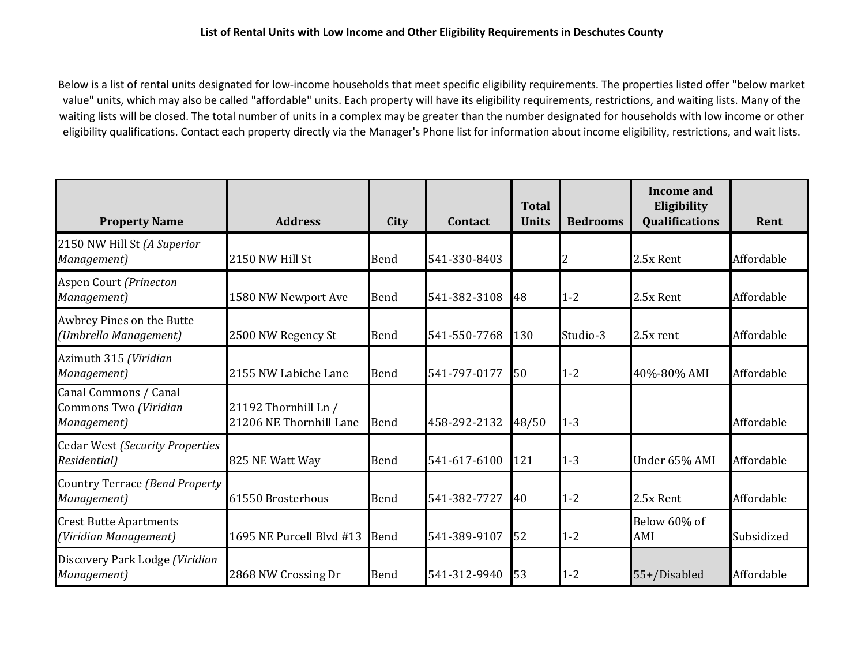Below is a list of rental units designated for low-income households that meet specific eligibility requirements. The properties listed offer "below market value" units, which may also be called "affordable" units. Each property will have its eligibility requirements, restrictions, and waiting lists. Many of the waiting lists will be closed. The total number of units in a complex may be greater than the number designated for households with low income or other eligibility qualifications. Contact each property directly via the Manager's Phone list for information about income eligibility, restrictions, and wait lists.

| <b>Property Name</b>                                          | <b>Address</b>                                  | City        | Contact      | <b>Total</b><br><b>Units</b> | <b>Bedrooms</b> | Income and<br>Eligibility<br><b>Qualifications</b> | Rent       |
|---------------------------------------------------------------|-------------------------------------------------|-------------|--------------|------------------------------|-----------------|----------------------------------------------------|------------|
| 2150 NW Hill St (A Superior<br>Management)                    | 2150 NW Hill St                                 | Bend        | 541-330-8403 |                              |                 | 2.5x Rent                                          | Affordable |
| Aspen Court (Prinecton<br>Management)                         | 1580 NW Newport Ave                             | Bend        | 541-382-3108 | 48                           | $1 - 2$         | 2.5x Rent                                          | Affordable |
| Awbrey Pines on the Butte<br>(Umbrella Management)            | 2500 NW Regency St                              | <b>Bend</b> | 541-550-7768 | 130                          | Studio-3        | 2.5x rent                                          | Affordable |
| Azimuth 315 (Viridian<br>Management)                          | 2155 NW Labiche Lane                            | Bend        | 541-797-0177 | 50                           | $1 - 2$         | 40%-80% AMI                                        | Affordable |
| Canal Commons / Canal<br>Commons Two (Viridian<br>Management) | 21192 Thornhill Ln /<br>21206 NE Thornhill Lane | Bend        | 458-292-2132 | 48/50                        | $1 - 3$         |                                                    | Affordable |
| <b>Cedar West (Security Properties</b><br>Residential)        | 825 NE Watt Way                                 | Bend        | 541-617-6100 | 121                          | $1 - 3$         | Under 65% AMI                                      | Affordable |
| Country Terrace (Bend Property<br>Management)                 | 61550 Brosterhous                               | Bend        | 541-382-7727 | 40                           | $1-2$           | 2.5x Rent                                          | Affordable |
| <b>Crest Butte Apartments</b><br>(Viridian Management)        | 1695 NE Purcell Blvd #13                        | Bend        | 541-389-9107 | 52                           | $1 - 2$         | Below 60% of<br>AMI                                | Subsidized |
| Discovery Park Lodge (Viridian<br>Management)                 | 2868 NW Crossing Dr                             | Bend        | 541-312-9940 | 53                           | $1 - 2$         | 55+/Disabled                                       | Affordable |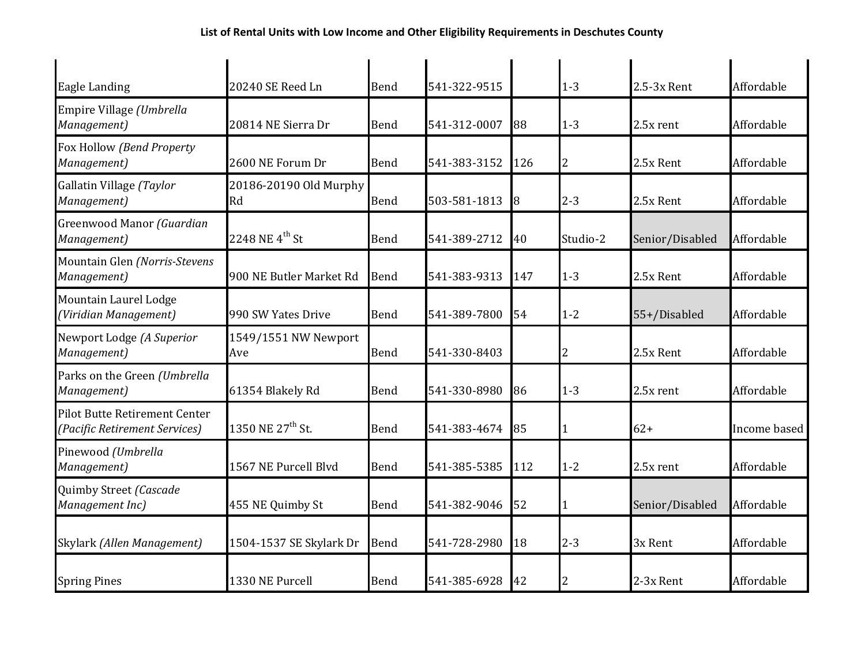| Eagle Landing                                                         | 20240 SE Reed Ln             | <b>Bend</b> | 541-322-9515 |     | $1 - 3$  | 2.5-3x Rent     | Affordable   |
|-----------------------------------------------------------------------|------------------------------|-------------|--------------|-----|----------|-----------------|--------------|
| Empire Village (Umbrella<br>Management)                               | 20814 NE Sierra Dr           | Bend        | 541-312-0007 | 88  | $1 - 3$  | 2.5x rent       | Affordable   |
| Fox Hollow (Bend Property<br>Management)                              | 2600 NE Forum Dr             | Bend        | 541-383-3152 | 126 | 2        | 2.5x Rent       | Affordable   |
| Gallatin Village (Taylor<br>Management)                               | 20186-20190 Old Murphy<br>Rd | <b>Bend</b> | 503-581-1813 | 8   | $2 - 3$  | 2.5x Rent       | Affordable   |
| Greenwood Manor (Guardian<br>Management)                              | 2248 NE $4^{th}$ St          | Bend        | 541-389-2712 | 40  | Studio-2 | Senior/Disabled | Affordable   |
| Mountain Glen (Norris-Stevens<br>Management)                          | 900 NE Butler Market Rd      | <b>Bend</b> | 541-383-9313 | 147 | $1 - 3$  | 2.5x Rent       | Affordable   |
| Mountain Laurel Lodge<br>(Viridian Management)                        | 990 SW Yates Drive           | <b>Bend</b> | 541-389-7800 | 54  | $1 - 2$  | 55+/Disabled    | Affordable   |
| Newport Lodge (A Superior<br>Management)                              | 1549/1551 NW Newport<br>Ave  | Bend        | 541-330-8403 |     | 2        | 2.5x Rent       | Affordable   |
| Parks on the Green (Umbrella<br>Management)                           | 61354 Blakely Rd             | <b>Bend</b> | 541-330-8980 | 86  | $1 - 3$  | 2.5x rent       | Affordable   |
| <b>Pilot Butte Retirement Center</b><br>(Pacific Retirement Services) | 1350 NE 27 <sup>th</sup> St. | <b>Bend</b> | 541-383-4674 | 85  | 1        | $62+$           | Income based |
| Pinewood (Umbrella<br>Management)                                     | 1567 NE Purcell Blvd         | Bend        | 541-385-5385 | 112 | $1 - 2$  | 2.5x rent       | Affordable   |
| Quimby Street (Cascade<br>Management Inc)                             | 455 NE Quimby St             | <b>Bend</b> | 541-382-9046 | 52  |          | Senior/Disabled | Affordable   |
| Skylark (Allen Management)                                            | 1504-1537 SE Skylark Dr      | Bend        | 541-728-2980 | 18  | $2 - 3$  | 3x Rent         | Affordable   |
| <b>Spring Pines</b>                                                   | 1330 NE Purcell              | <b>Bend</b> | 541-385-6928 | 42  |          | 2-3x Rent       | Affordable   |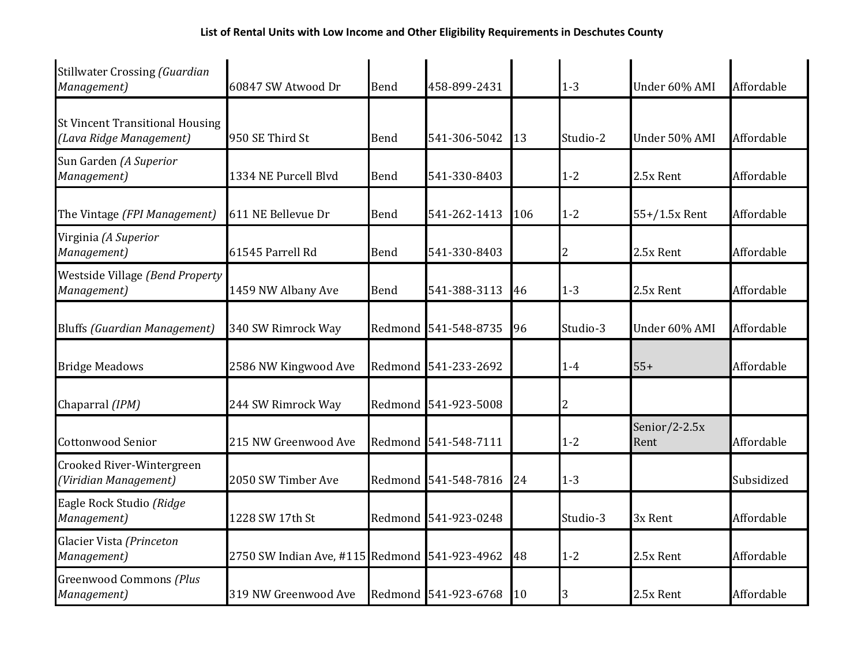| <b>Stillwater Crossing (Guardian</b><br>Management)               | 60847 SW Atwood Dr                            | <b>Bend</b> | 458-899-2431         |     | $1 - 3$  | Under 60% AMI            | Affordable |
|-------------------------------------------------------------------|-----------------------------------------------|-------------|----------------------|-----|----------|--------------------------|------------|
| <b>St Vincent Transitional Housing</b><br>(Lava Ridge Management) | 950 SE Third St                               | Bend        | 541-306-5042         | 13  | Studio-2 | Under 50% AMI            | Affordable |
| Sun Garden (A Superior<br>Management)                             | 1334 NE Purcell Blyd                          | Bend        | 541-330-8403         |     | $1 - 2$  | 2.5x Rent                | Affordable |
| The Vintage (FPI Management)                                      | 611 NE Bellevue Dr                            | Bend        | 541-262-1413         | 106 | $1 - 2$  | 55+/1.5x Rent            | Affordable |
| Virginia (A Superior<br>Management)                               | 61545 Parrell Rd                              | <b>Bend</b> | 541-330-8403         |     | 2        | 2.5x Rent                | Affordable |
| Westside Village (Bend Property<br>Management)                    | 1459 NW Albany Ave                            | <b>Bend</b> | 541-388-3113         | 46  | $1 - 3$  | 2.5x Rent                | Affordable |
| <b>Bluffs (Guardian Management)</b>                               | 340 SW Rimrock Way                            |             | Redmond 541-548-8735 | 96  | Studio-3 | Under 60% AMI            | Affordable |
| <b>Bridge Meadows</b>                                             | 2586 NW Kingwood Ave                          |             | Redmond 541-233-2692 |     | $1-4$    | $55+$                    | Affordable |
| Chaparral (IPM)                                                   | 244 SW Rimrock Way                            |             | Redmond 541-923-5008 |     | 2        |                          |            |
| <b>Cottonwood Senior</b>                                          | 215 NW Greenwood Ave                          | Redmond     | 541-548-7111         |     | $1 - 2$  | Senior/2-2.5 $x$<br>Rent | Affordable |
| Crooked River-Wintergreen<br>(Viridian Management)                | 2050 SW Timber Ave                            |             | Redmond 541-548-7816 | 24  | $1 - 3$  |                          | Subsidized |
| Eagle Rock Studio (Ridge<br>Management)                           | 1228 SW 17th St                               |             | Redmond 541-923-0248 |     | Studio-3 | 3x Rent                  | Affordable |
| Glacier Vista (Princeton<br>Management)                           | 2750 SW Indian Ave, #115 Redmond 541-923-4962 |             |                      | 48  | $1 - 2$  | 2.5x Rent                | Affordable |
| <b>Greenwood Commons (Plus</b><br>Management)                     | 319 NW Greenwood Ave                          |             | Redmond 541-923-6768 | 10  | 3        | 2.5x Rent                | Affordable |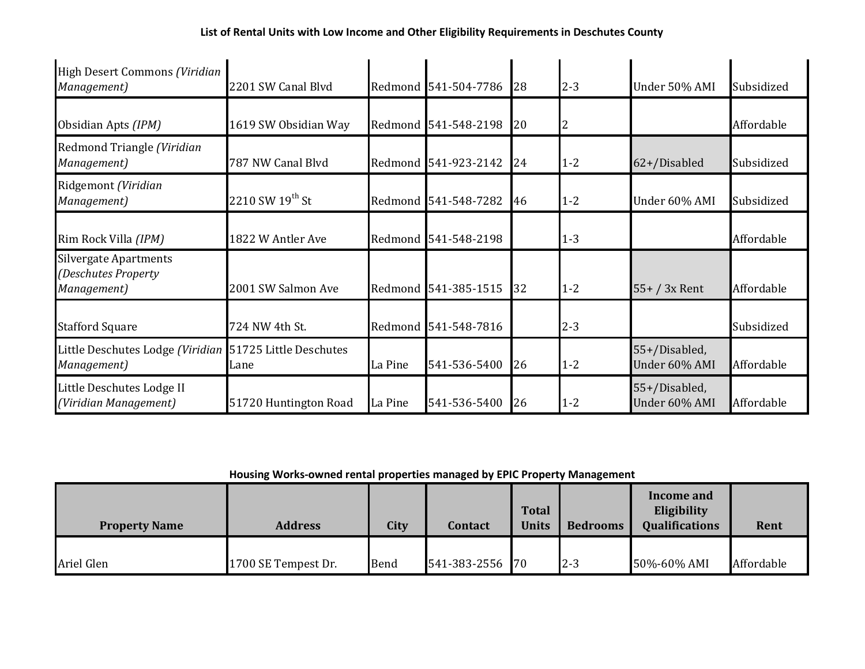| High Desert Commons (Viridian<br>Management)                       | 2201 SW Canal Blyd             |         | Redmond 541-504-7786 | 28 | $2 - 3$ | Under 50% AMI                  | Subsidized |
|--------------------------------------------------------------------|--------------------------------|---------|----------------------|----|---------|--------------------------------|------------|
| Obsidian Apts (IPM)                                                | 1619 SW Obsidian Way           |         | Redmond 541-548-2198 | 20 |         |                                | Affordable |
| Redmond Triangle (Viridian<br>Management)                          | 787 NW Canal Blyd              |         | Redmond 541-923-2142 | 24 | $1 - 2$ | 62+/Disabled                   | Subsidized |
| Ridgemont (Viridian<br>Management)                                 | 2210 SW $19^{th}$ St           |         | Redmond 541-548-7282 | 46 | $1 - 2$ | Under 60% AMI                  | Subsidized |
| Rim Rock Villa (IPM)                                               | 1822 W Antler Ave              |         | Redmond 541-548-2198 |    | $1 - 3$ |                                | Affordable |
| <b>Silvergate Apartments</b><br>(Deschutes Property<br>Management) | 2001 SW Salmon Ave             |         | Redmond 541-385-1515 | 32 | $1 - 2$ | $55+ / 3x$ Rent                | Affordable |
| <b>Stafford Square</b>                                             | 724 NW 4th St.                 |         | Redmond 541-548-7816 |    | $2 - 3$ |                                | Subsidized |
| Little Deschutes Lodge (Viridian<br>Management)                    | 51725 Little Deschutes<br>Lane | La Pine | 541-536-5400         | 26 | $1 - 2$ | 55+/Disabled,<br>Under 60% AMI | Affordable |
| Little Deschutes Lodge II<br>(Viridian Management)                 | 51720 Huntington Road          | La Pine | 541-536-5400         | 26 | $1 - 2$ | 55+/Disabled,<br>Under 60% AMI | Affordable |

**Housing Works-owned rental properties managed by EPIC Property Management**

| <b>Property Name</b> | <b>Address</b>      | <b>City</b> | Contact         | <b>Total</b><br><b>Units</b> | <b>Bedrooms</b> | Income and<br>Eligibility<br><b>Qualifications</b> | Rent       |
|----------------------|---------------------|-------------|-----------------|------------------------------|-----------------|----------------------------------------------------|------------|
| Ariel Glen           | 1700 SE Tempest Dr. | Bend        | 541-383-2556 70 |                              | $2 - 3$         | 50%-60% AMI                                        | Affordable |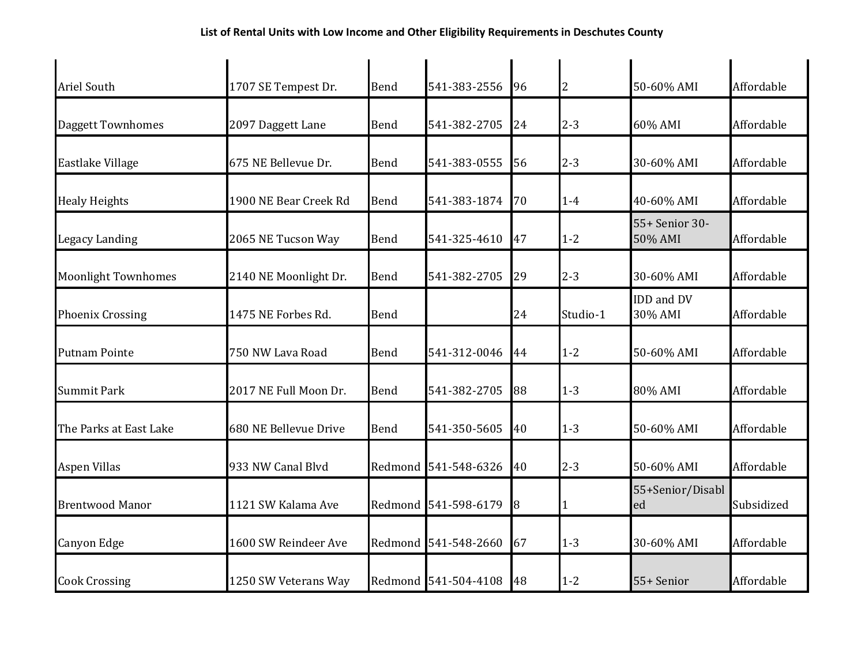| <b>Ariel South</b>         | 1707 SE Tempest Dr.   | Bend        | 541-383-2556         | 96 | $\overline{c}$ | 50-60% AMI                | Affordable |
|----------------------------|-----------------------|-------------|----------------------|----|----------------|---------------------------|------------|
| <b>Daggett Townhomes</b>   | 2097 Daggett Lane     | Bend        | 541-382-2705         | 24 | $2 - 3$        | 60% AMI                   | Affordable |
| Eastlake Village           | 675 NE Bellevue Dr.   | Bend        | 541-383-0555         | 56 | $2 - 3$        | 30-60% AMI                | Affordable |
| <b>Healy Heights</b>       | 1900 NE Bear Creek Rd | <b>Bend</b> | 541-383-1874         | 70 | $1-4$          | 40-60% AMI                | Affordable |
| Legacy Landing             | 2065 NE Tucson Way    | Bend        | 541-325-4610         | 47 | $1 - 2$        | 55+ Senior 30-<br>50% AMI | Affordable |
| <b>Moonlight Townhomes</b> | 2140 NE Moonlight Dr. | Bend        | 541-382-2705         | 29 | $2 - 3$        | 30-60% AMI                | Affordable |
| <b>Phoenix Crossing</b>    | 1475 NE Forbes Rd.    | Bend        |                      | 24 | Studio-1       | IDD and DV<br>30% AMI     | Affordable |
| <b>Putnam Pointe</b>       | 750 NW Lava Road      | <b>Bend</b> | 541-312-0046         | 44 | $1 - 2$        | 50-60% AMI                | Affordable |
| <b>Summit Park</b>         | 2017 NE Full Moon Dr. | Bend        | 541-382-2705         | 88 | $1 - 3$        | 80% AMI                   | Affordable |
| The Parks at East Lake     | 680 NE Bellevue Drive | Bend        | 541-350-5605         | 40 | $1 - 3$        | 50-60% AMI                | Affordable |
| <b>Aspen Villas</b>        | 933 NW Canal Blvd     |             | Redmond 541-548-6326 | 40 | $2 - 3$        | 50-60% AMI                | Affordable |
| <b>Brentwood Manor</b>     | 1121 SW Kalama Ave    |             | Redmond 541-598-6179 | 8  | 1              | 55+Senior/Disabl<br>ed    | Subsidized |
| Canyon Edge                | 1600 SW Reindeer Ave  |             | Redmond 541-548-2660 | 67 | $1 - 3$        | 30-60% AMI                | Affordable |
| <b>Cook Crossing</b>       | 1250 SW Veterans Way  |             | Redmond 541-504-4108 | 48 | $1 - 2$        | 55+ Senior                | Affordable |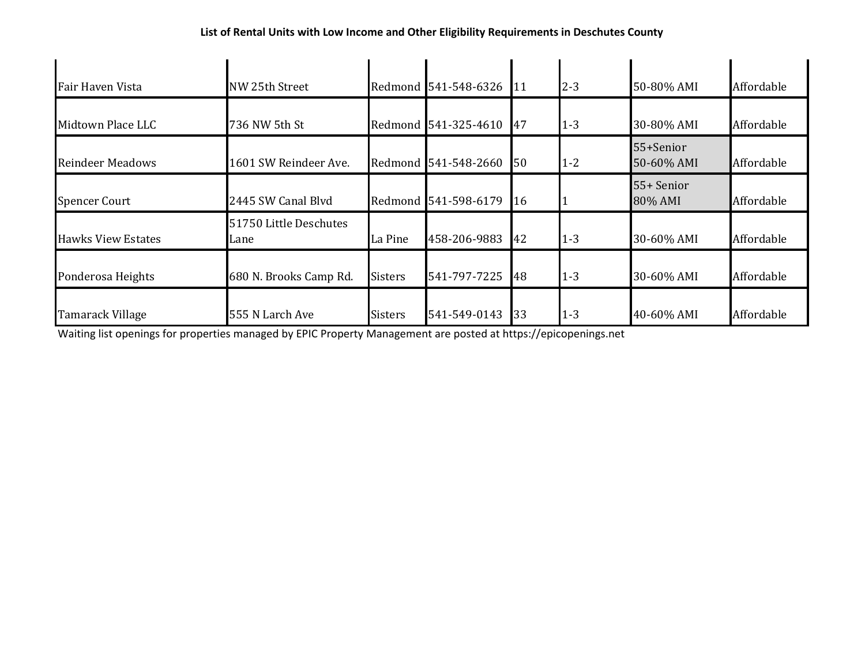| Fair Haven Vista          | NW 25th Street                 |                | Redmond 541-548-6326 | 11        | $2 - 3$ | 50-80% AMI              | Affordable |
|---------------------------|--------------------------------|----------------|----------------------|-----------|---------|-------------------------|------------|
| Midtown Place LLC         | 736 NW 5th St                  |                | Redmond 541-325-4610 | 47        | $1 - 3$ | 30-80% AMI              | Affordable |
| <b>Reindeer Meadows</b>   | 1601 SW Reindeer Ave.          |                | Redmond 541-548-2660 | <b>50</b> | $1 - 2$ | 55+Senior<br>50-60% AMI | Affordable |
| <b>Spencer Court</b>      | 2445 SW Canal Blyd             |                | Redmond 541-598-6179 | 16        |         | 55+ Senior<br>80% AMI   | Affordable |
| <b>Hawks View Estates</b> | 51750 Little Deschutes<br>Lane | La Pine        | 458-206-9883         | 42        | $1 - 3$ | 30-60% AMI              | Affordable |
| Ponderosa Heights         | 680 N. Brooks Camp Rd.         | <b>Sisters</b> | 541-797-7225         | 48        | $1 - 3$ | 30-60% AMI              | Affordable |
| Tamarack Village          | 555 N Larch Ave                | <b>Sisters</b> | 541-549-0143         | 33        | $1 - 3$ | 40-60% AMI              | Affordable |

Waiting list openings for properties managed by EPIC Property Management are posted at https://epicopenings.net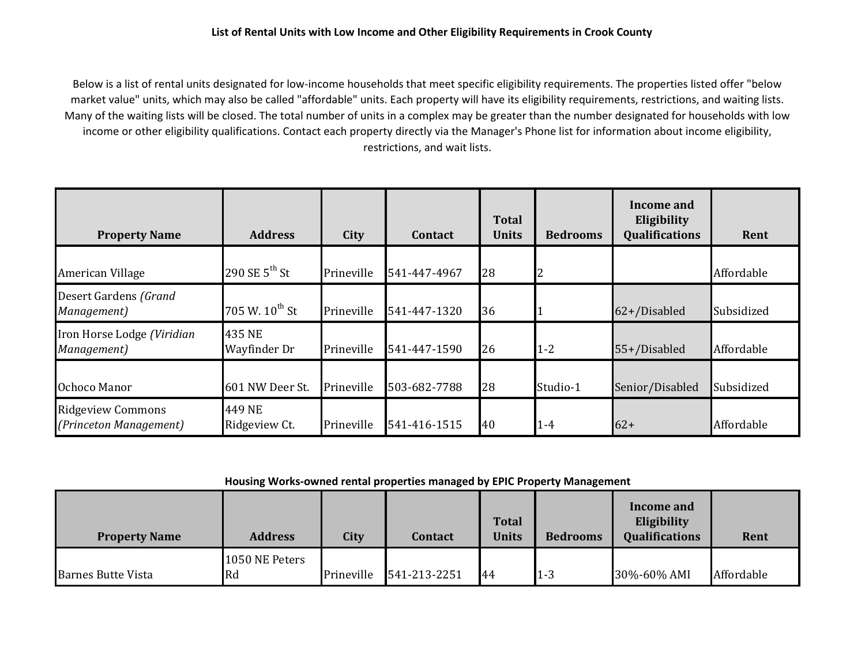Below is a list of rental units designated for low-income households that meet specific eligibility requirements. The properties listed offer "below market value" units, which may also be called "affordable" units. Each property will have its eligibility requirements, restrictions, and waiting lists. Many of the waiting lists will be closed. The total number of units in a complex may be greater than the number designated for households with low income or other eligibility qualifications. Contact each property directly via the Manager's Phone list for information about income eligibility, restrictions, and wait lists.

| <b>Property Name</b>                               | <b>Address</b>             | City       | <b>Contact</b> | <b>Total</b><br><b>Units</b> | <b>Bedrooms</b> | Income and<br>Eligibility<br><b>Qualifications</b> | Rent       |
|----------------------------------------------------|----------------------------|------------|----------------|------------------------------|-----------------|----------------------------------------------------|------------|
| American Village                                   | 290 SE $5^{th}$ St         | Prineville | 541-447-4967   | 28                           | $\overline{2}$  |                                                    | Affordable |
| Desert Gardens (Grand<br>Management)               | 705 W. 10 <sup>th</sup> St | Prineville | 541-447-1320   | 36                           |                 | 62+/Disabled                                       | Subsidized |
| Iron Horse Lodge (Viridian<br>Management)          | 435 NE<br>Wayfinder Dr     | Prineville | 541-447-1590   | 26                           | $1 - 2$         | 55+/Disabled                                       | Affordable |
| Ochoco Manor                                       | 601 NW Deer St.            | Prineville | 503-682-7788   | 28                           | Studio-1        | Senior/Disabled                                    | Subsidized |
| <b>Ridgeview Commons</b><br>(Princeton Management) | 449 NE<br>Ridgeview Ct.    | Prineville | 541-416-1515   | 40                           | $1-4$           | $62+$                                              | Affordable |

**Housing Works-owned rental properties managed by EPIC Property Management**

| <b>Property Name</b>      | <b>Address</b>       | City       | <b>Contact</b> | <b>Total</b><br><b>Units</b> | <b>Bedrooms</b> | Income and<br>Eligibility<br><b>Qualifications</b> | Rent       |
|---------------------------|----------------------|------------|----------------|------------------------------|-----------------|----------------------------------------------------|------------|
| <b>Barnes Butte Vista</b> | 1050 NE Peters<br>Rd | Prineville | 541-213-2251   | 44                           | $1 - 3$         | 30%-60% AMI                                        | Affordable |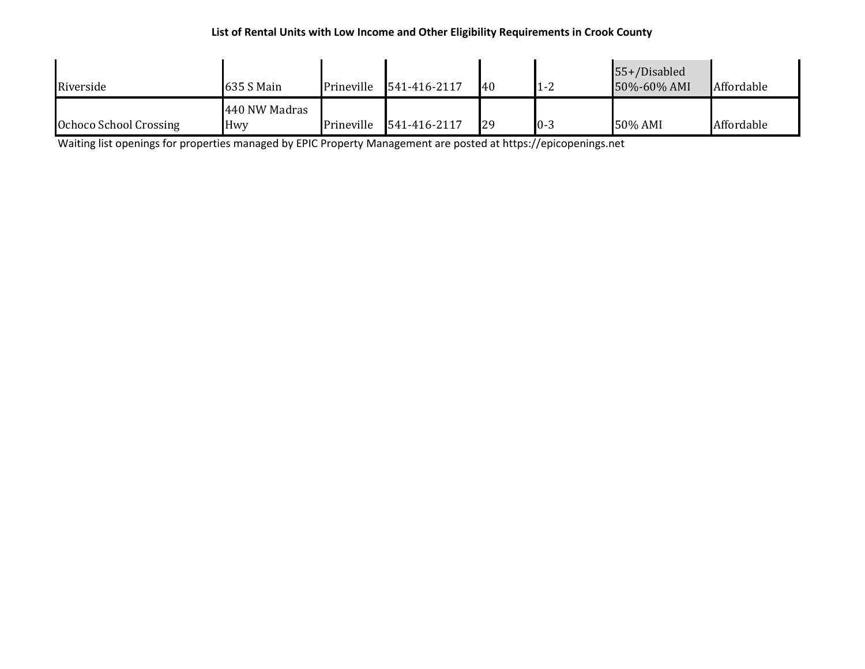## **List of Rental Units with Low Income and Other Eligibility Requirements in Crook County**

| Riverside              | 635 S Main           | Prineville | 541-416-2117 | 140 | $1 - 2$ | 55+/Disabled<br>50%-60% AMI | Affordable |
|------------------------|----------------------|------------|--------------|-----|---------|-----------------------------|------------|
| Ochoco School Crossing | 440 NW Madras<br>Hwy | Prineville | 541-416-2117 | 29  | $0 - 3$ | 50% AMI                     | Affordable |

Waiting list openings for properties managed by EPIC Property Management are posted at https://epicopenings.net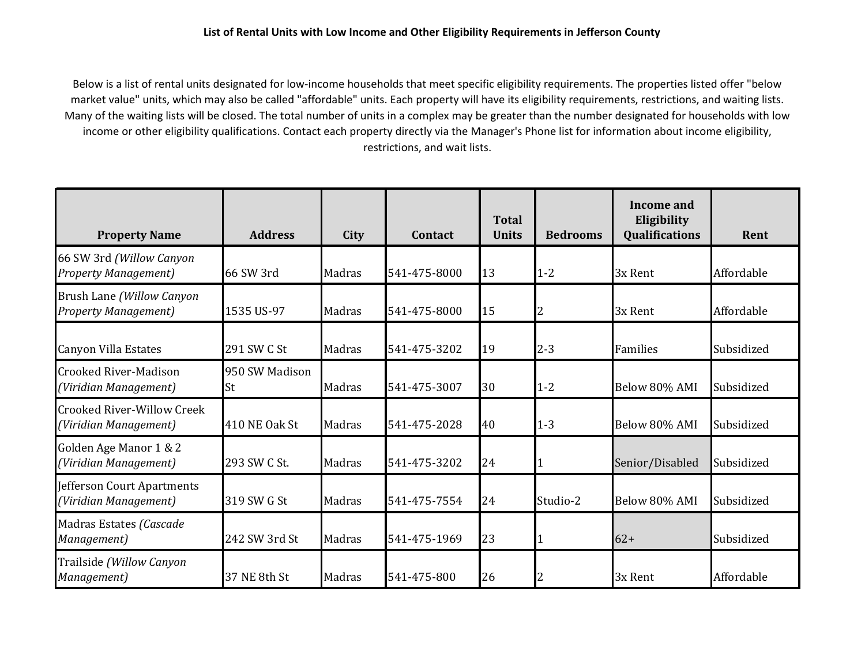Below is a list of rental units designated for low-income households that meet specific eligibility requirements. The properties listed offer "below market value" units, which may also be called "affordable" units. Each property will have its eligibility requirements, restrictions, and waiting lists. Many of the waiting lists will be closed. The total number of units in a complex may be greater than the number designated for households with low income or other eligibility qualifications. Contact each property directly via the Manager's Phone list for information about income eligibility, restrictions, and wait lists.

| <b>Property Name</b>                                       | <b>Address</b>       | City   | <b>Contact</b> | <b>Total</b><br><b>Units</b> | <b>Bedrooms</b> | Income and<br>Eligibility<br><b>Qualifications</b> | Rent       |
|------------------------------------------------------------|----------------------|--------|----------------|------------------------------|-----------------|----------------------------------------------------|------------|
| 66 SW 3rd (Willow Canyon<br><b>Property Management</b> )   | 66 SW 3rd            | Madras | 541-475-8000   | 13                           | $1 - 2$         | 3x Rent                                            | Affordable |
| Brush Lane (Willow Canyon<br><b>Property Management</b> )  | 1535 US-97           | Madras | 541-475-8000   | 15                           | $\overline{c}$  | 3x Rent                                            | Affordable |
| <b>Canyon Villa Estates</b>                                | 291 SW C St          | Madras | 541-475-3202   | 19                           | $2 - 3$         | Families                                           | Subsidized |
| <b>Crooked River-Madison</b><br>(Viridian Management)      | 950 SW Madison<br>St | Madras | 541-475-3007   | 30                           | $1 - 2$         | Below 80% AMI                                      | Subsidized |
| <b>Crooked River-Willow Creek</b><br>(Viridian Management) | 410 NE Oak St        | Madras | 541-475-2028   | 40                           | $1 - 3$         | Below 80% AMI                                      | Subsidized |
| Golden Age Manor 1 & 2<br>(Viridian Management)            | 293 SW C St.         | Madras | 541-475-3202   | 24                           |                 | Senior/Disabled                                    | Subsidized |
| Jefferson Court Apartments<br>(Viridian Management)        | 319 SW G St          | Madras | 541-475-7554   | 24                           | Studio-2        | Below 80% AMI                                      | Subsidized |
| Madras Estates (Cascade<br>Management)                     | 242 SW 3rd St        | Madras | 541-475-1969   | 23                           |                 | $62+$                                              | Subsidized |
| Trailside (Willow Canyon<br>Management)                    | 37 NE 8th St         | Madras | 541-475-800    | 26                           | $\overline{2}$  | 3x Rent                                            | Affordable |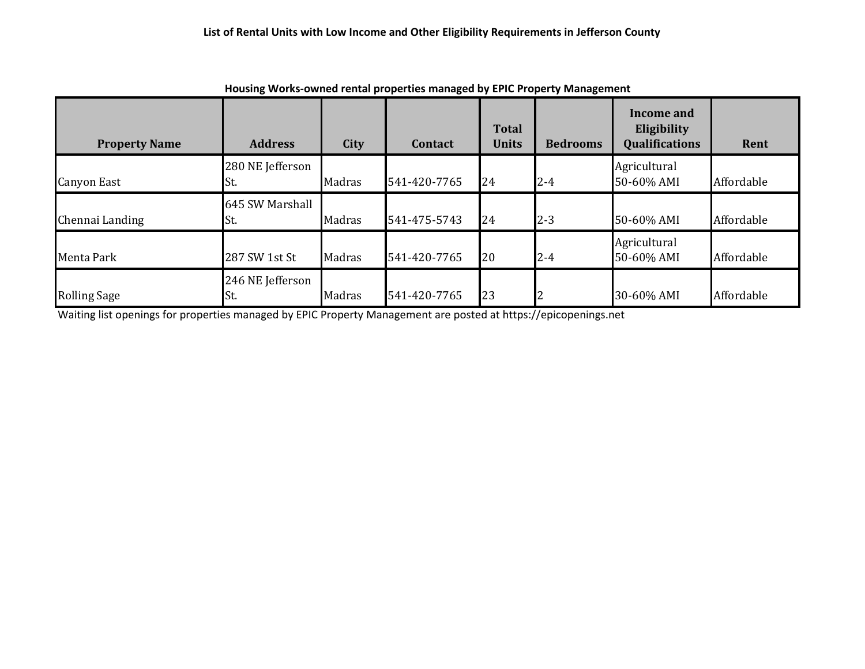| <b>Property Name</b> | <b>Address</b>           | City   | Contact      | <b>Total</b><br><b>Units</b> | <b>Bedrooms</b> | Income and<br>Eligibility<br><b>Qualifications</b> | Rent       |
|----------------------|--------------------------|--------|--------------|------------------------------|-----------------|----------------------------------------------------|------------|
| <b>Canyon East</b>   | 280 NE Jefferson<br>ISt. | Madras | 541-420-7765 | 24                           | $2 - 4$         | Agricultural<br>50-60% AMI                         | Affordable |
| Chennai Landing      | 645 SW Marshall<br>ISt.  | Madras | 541-475-5743 | 24                           | $2 - 3$         | 50-60% AMI                                         | Affordable |
| Menta Park           | 287 SW 1st St            | Madras | 541-420-7765 | 20                           | $2 - 4$         | Agricultural<br>50-60% AMI                         | Affordable |
| <b>Rolling Sage</b>  | 246 NE Jefferson<br>St.  | Madras | 541-420-7765 | 23                           |                 | 30-60% AMI                                         | Affordable |

**Housing Works-owned rental properties managed by EPIC Property Management**

Waiting list openings for properties managed by EPIC Property Management are posted at https://epicopenings.net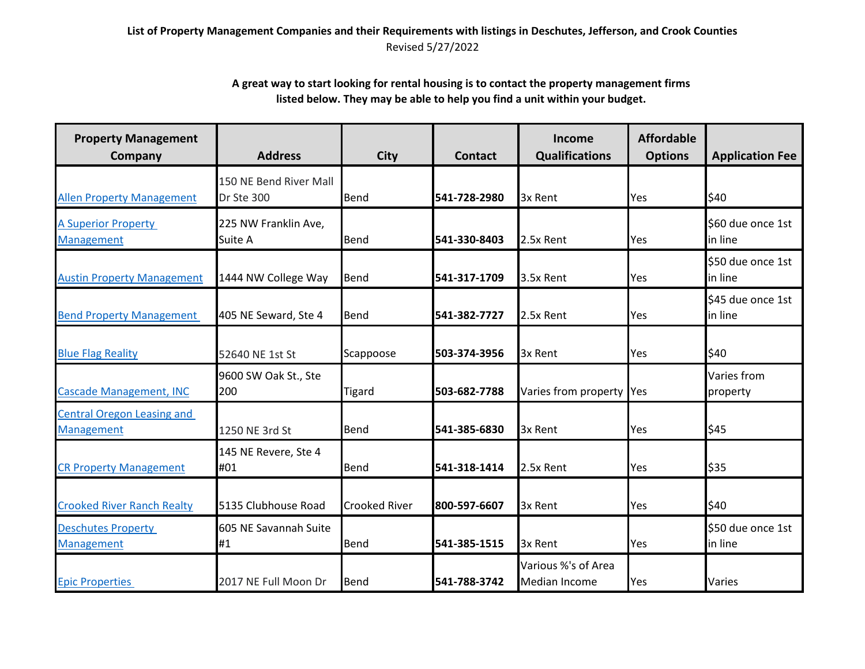## **List of Property Management Companies and their Requirements with listings in Deschutes, Jefferson, and Crook Counties** Revised 5/27/2022

## **A great way to start looking for rental housing is to contact the property management firms listed below. They may be able to help you find a unit within your budget.**

| <b>Property Management</b><br>Company                  | <b>Address</b>                       | <b>City</b>          | <b>Contact</b> | Income<br><b>Qualifications</b>      | <b>Affordable</b><br><b>Options</b> | <b>Application Fee</b>       |
|--------------------------------------------------------|--------------------------------------|----------------------|----------------|--------------------------------------|-------------------------------------|------------------------------|
| <b>Allen Property Management</b>                       | 150 NE Bend River Mall<br>Dr Ste 300 | Bend                 | 541-728-2980   | 3x Rent                              | Yes                                 | \$40                         |
| <b>A Superior Property</b><br><b>Management</b>        | 225 NW Franklin Ave,<br>Suite A      | Bend                 | 541-330-8403   | 2.5x Rent                            | Yes                                 | \$60 due once 1st<br>in line |
| <b>Austin Property Management</b>                      | 1444 NW College Way                  | Bend                 | 541-317-1709   | 3.5x Rent                            | Yes                                 | \$50 due once 1st<br>in line |
| <b>Bend Property Management</b>                        | 405 NE Seward, Ste 4                 | Bend                 | 541-382-7727   | 2.5x Rent                            | Yes                                 | \$45 due once 1st<br>in line |
| <b>Blue Flag Reality</b>                               | 52640 NE 1st St                      | Scappoose            | 503-374-3956   | 3x Rent                              | Yes                                 | \$40                         |
| Cascade Management, INC                                | 9600 SW Oak St., Ste<br>200          | Tigard               | 503-682-7788   | Varies from property Yes             |                                     | Varies from<br>property      |
| <b>Central Oregon Leasing and</b><br><b>Management</b> | 1250 NE 3rd St                       | Bend                 | 541-385-6830   | 3x Rent                              | Yes                                 | \$45                         |
| <b>CR Property Management</b>                          | 145 NE Revere, Ste 4<br>#01          | Bend                 | 541-318-1414   | 2.5x Rent                            | Yes                                 | \$35                         |
| <b>Crooked River Ranch Realty</b>                      | 5135 Clubhouse Road                  | <b>Crooked River</b> | 800-597-6607   | 3x Rent                              | Yes                                 | \$40                         |
| <b>Deschutes Property</b><br><b>Management</b>         | 605 NE Savannah Suite<br>#1          | Bend                 | 541-385-1515   | 3x Rent                              | Yes                                 | \$50 due once 1st<br>in line |
| <b>Epic Properties</b>                                 | 2017 NE Full Moon Dr                 | Bend                 | 541-788-3742   | Various %'s of Area<br>Median Income | Yes                                 | Varies                       |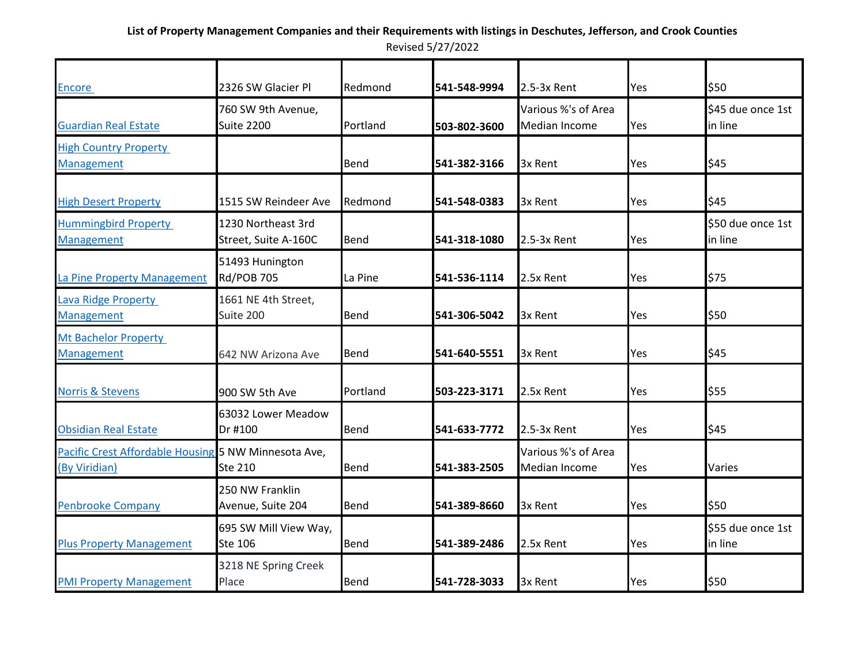| Encore                                                                | 2326 SW Glacier Pl                         | Redmond     | 541-548-9994 | 2.5-3x Rent                                 | Yes | \$50                         |
|-----------------------------------------------------------------------|--------------------------------------------|-------------|--------------|---------------------------------------------|-----|------------------------------|
| <b>Guardian Real Estate</b>                                           | 760 SW 9th Avenue,<br><b>Suite 2200</b>    | Portland    | 503-802-3600 | Various %'s of Area<br><b>Median Income</b> | Yes | \$45 due once 1st<br>in line |
| <b>High Country Property</b><br><b>Management</b>                     |                                            | <b>Bend</b> | 541-382-3166 | 3x Rent                                     | Yes | \$45                         |
| <b>High Desert Property</b>                                           | 1515 SW Reindeer Ave                       | Redmond     | 541-548-0383 | 3x Rent                                     | Yes | \$45                         |
| <b>Hummingbird Property</b><br>Management                             | 1230 Northeast 3rd<br>Street, Suite A-160C | Bend        | 541-318-1080 | 2.5-3x Rent                                 | Yes | \$50 due once 1st<br>in line |
| La Pine Property Management                                           | 51493 Hunington<br><b>Rd/POB 705</b>       | La Pine     | 541-536-1114 | 2.5x Rent                                   | Yes | \$75                         |
| <b>Lava Ridge Property</b><br>Management                              | 1661 NE 4th Street,<br>Suite 200           | Bend        | 541-306-5042 | 3x Rent                                     | Yes | \$50                         |
| <b>Mt Bachelor Property</b><br><b>Management</b>                      | 642 NW Arizona Ave                         | <b>Bend</b> | 541-640-5551 | 3x Rent                                     | Yes | \$45                         |
| <b>Norris &amp; Stevens</b>                                           | 900 SW 5th Ave                             | Portland    | 503-223-3171 | 2.5x Rent                                   | Yes | \$55                         |
| <b>Obsidian Real Estate</b>                                           | 63032 Lower Meadow<br>Dr #100              | <b>Bend</b> | 541-633-7772 | 2.5-3x Rent                                 | Yes | \$45                         |
| Pacific Crest Affordable Housing 5 NW Minnesota Ave,<br>(By Viridian) | Ste 210                                    | Bend        | 541-383-2505 | Various %'s of Area<br><b>Median Income</b> | Yes | Varies                       |
| <b>Penbrooke Company</b>                                              | 250 NW Franklin<br>Avenue, Suite 204       | <b>Bend</b> | 541-389-8660 | 3x Rent                                     | Yes | \$50                         |
| <b>Plus Property Management</b>                                       | 695 SW Mill View Way,<br><b>Ste 106</b>    | <b>Bend</b> | 541-389-2486 | 2.5x Rent                                   | Yes | \$55 due once 1st<br>in line |
| <b>PMI Property Management</b>                                        | 3218 NE Spring Creek<br>Place              | Bend        | 541-728-3033 | 3x Rent                                     | Yes | \$50                         |